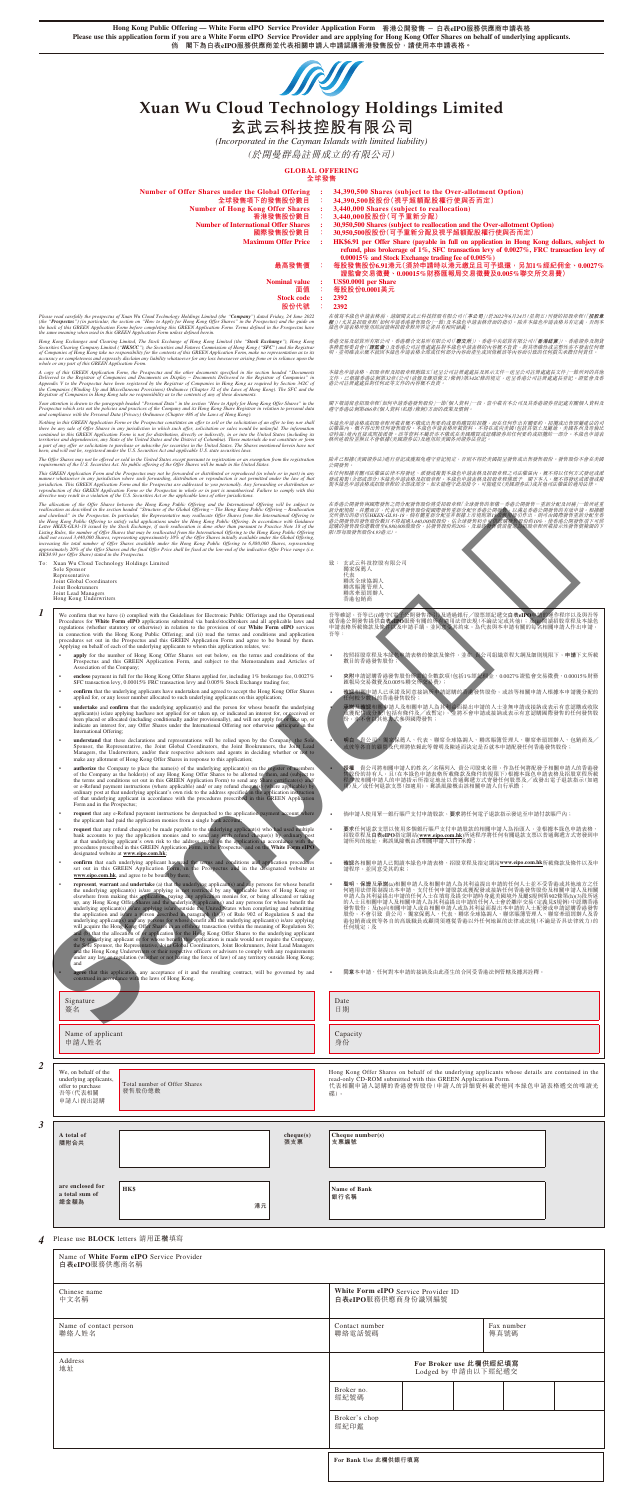**Hong Kong Public Offering — White Form eIPO Service Provider Application Form 香港公開發售 - 白表eIPO服務供應商申請表格** Please use this application form if you are a White Form eIPO Service Provider and are applying for Hong Kong Offer Shares on behalf of underlying applicants. **倘 閣下為白表eIPO服務供應商並代表相關申請人申請認購香港發售股份,請使用本申請表格。**



# **Xuan Wu Cloud Technology Holdings Limited 玄武云科技控股有限公司**

*(Incorporated in the Cayman Islands with limited liability)*

(於開曼群島註冊成立的有限公司)

#### **GLOBAL OFFERING 全球發售**

**Number of Offer Shares under the Global Offering : 34,390,500 Shares (subject to the Over-allotment Option)**<br>全球發售項下的發售股份數目 : 34,390,500股股份(視乎超額配股權行使與否而定) 全球發售項下的發售股份數目 : **34,390,500股股份(視乎超額配股權行使與否而定)**<br>
Number of Hong Kong Offer Shares : 3,440,000 Shares (subject to reallocation)<br>
香港發售股份數目 : 3,440,000股股份(可予重新分配)

- 
- 
- **Nominal value : US\$0.0001 per Share**<br>
面值 : 每股股份0.0001美元 **面值 : 每股股份0.0001美元**

在填寫本綠色申請表格前,請細閱玄武云科技控股有限公司(「**本公司**」)於2022年6月24日(星期五)刊發的招股章程(「**招股章**<br>羅」)(尤其是招股章程「如何申請香港發售股份」一節)及本綠色申請表格背面的指引。除非本綠色申請表格另有定義,否則本<br>綠色申請表格所使用的詞語與招股章程所界定者具有相同涵義。

香港交易及結算所有限公司、香港聯合家委員會(「**聯交所**」)、香港中央結算有限公司(**書港結算**」)、香港證券及期貨<br>事務監察委員會(「**證監會**」)及香港公司註冊處處長對本綠色申請表格的內容概不負責,對其準確性或完整性が不發表任何實在。

本綠色申請表格、招股章程及招股章程附錄五「送呈公司註冊處處長及展示文件一述呈公司註冊處處長文件」一節所列的其他<br>文件,已根據香港法例第32章《公司〔清盤及鎌項條文) 條例》第342C條的規定,送呈香港公司註冊處處長登記。證監會及香<br>港公司註冊處處長對任何此等文件的內容概不負責。

閣下敬請留意拓股章程「如何申請香港發售股份」一節「個人資料」一段,當中載有本公司及其香港證券登記處有關個人資料及<br>遵守香港法例第486章《個人資料(私隱)條例》方面的政策及慣例。

**Stock code : 2392**<br>股份代號 : 2392 **股份代號 : 2392**

Please read carefully the prospectus of Xuan Wu Cloud Technology Holdings Limited (the "**Company**") dated Friday, 24 June 2022<br>(the "**Prospectus**") (in particular, the section on "How to Apply for Hong Kong Offer Shares" i

Hong Kong Exchanges and Clearing Limited, The Stock Exchange of Hong Kong Limited (the "S**tock Exchange**"). Hong Kong<br>Securities Clearing Company Limited ("**HKSCC**"), the Securities and Futures Commission of Hong Kong ("S

A copy of this GREN Application Form, the Prospectus and the other documents specified in the section headed "Documents Delivered to the Registrar of Companies" in<br>Delivered to the Registrar of Companies and Documents on D

Your attention is drawn to the paragraph headed "Personal Data" in the section "How to Apply for Hong Kong Offer Shares" in the<br>Prospectus which sets out the policies and practices of the Company and its Hong Kong Share Re

Nothing in this GREEN Application Form or the Prospectus constitutes an offer to sell or the solicitation of an offer to buy nor shall<br>there be any sale of Offer Shares in any jurisdiction in which such gifter, solicitatio

The Offer Shares may not be offered or sold in the United States except pursuant to registration or an exemption from the registration<br>requirements of the U.S. Securities Act. No public offering of the Offer Shares will be

This GREEN Application Form and the Prospectus may not be forwarded or distributed or reproduced (in whole or in part) in any<br>manner whatsoever in any jurisdiction where such forwarding, distribution or reproduction is not

The allocation of the Offer Shares between the Hong Kong Public Offering and the International Offering witl be subject to realized in the section headed "Structure of the Global Offering – The Hong Kong Public Offering –

- - -
- **Number of Hong Kong Offer Shares : 3,440,000 Shares (subject to reallocation)**
- **香港發售股份數目 : 3,440,000股股份(可予重新分配) Number of International Offer Shares : 30,950,500 Shares (subject to reallocation and the Over-allotment Option)**
	- **國際發售股份數目 : 30,950,500股股份(可予重新分配及視乎超額配股權行使與否而定)**
	- **Maximum Offer Price : HK\$6.91 per Offer Share (payable in full on application in Hong Kong dollars, subject to refund, plus brokerage of 1%, SFC transaction levy of 0.0027%, FRC transaction levy of 0.00015% and Stock Exchange trading fee of 0.005%)**
		- **最高發售價 : 每股發售股份6.91港元(須於申請時以港元繳足且可予退還,另加1%經紀佣金、0.0027% 證監會交易徵費、0.00015%財務匯報局交易徵費及0.005%聯交所交易費)**
			-

- 要X仕回退款支票以便用多個銀行戰尸支付甲請股款的相關甲請人為抬頭人,亚根據本錄色申請表格、<br>招股章程及**自表eIPO**指定網站(w**ww.eipo.com.hk**)所述程序將任何有關退款支票以普通郵遞方式寄發到申<br>請所列的地址,郵誤風險概由該相關申請人自行承擔;
- **確認**各相關申請人已閱讀本綠色申請表格、招股章程及指定網站**www.eipo.com.hk**所載條款及條件以及申 請程序,並同意受其約束;
- **聲明**、**保證**及**承諾**(a)相關申請人及相關申請人為其利益提出申請的任何人士並不受香港或其他地方之任 何適用法律限制提出本申請、支付任何申請股款或獲配發或接納任何香港發售股份及相關申請人及相關 申請人為其利益提出申請的任何人士在填寫及提交申請時身處美國境外及屬S規例第902條第(h)(3)段所述 的人士且相關申請人及相關申請人為其利益提出申請的任何人士會於離岸交易(定義見S規例)中認購香港 發售股份;及(b)向相關申請人或由相關申請人或為其利益而提出本申請的人士配發或申請認購香港發售 股份,不會引致 貴公司、獨家保薦人、代表、聯席全球協調人、聯席賬簿管理人、聯席牽頭經辦人及香 港包銷商或彼等各自的高級職員或顧問須遵從香港以外任何地區的法律或法規(不論是否具法律效力)的

本綠色申請表格或招股章程所載者概不構成出售要約或要約購買的招攬,而在任何作出有關要約、招攬或出售即屬違法的司 法權區內,概不得出售任何發售股份。本錄色申請表格所載資料,不得在或向美國(包括其領土及屬地、美國各州及哥倫比<br>亞特區)境內直接或開接派發。該等資料不屬於亦不構成在美國標買或認購證券的任何要約或招攬的一部分。本綠色申請表<br>格所述股份並無且不會根據《美國證券法》及適用的美國各州證券法登記。

除非已根據《美國證券法》進行登記或獲豁免遵守登記規定,否則不得於美國提呈發售或出售發售股份。發售股份不會在美國<br>公開發售。

在任何根據有關司法權區法律不得發送、派發或複製本統色申請表格及招股章程之司法權區內,概不得以任何方式發送或派<br>發或複製(全部或部分)本條色申請表格及招股章程。本統色申請表格及招股章程僅致予 關下本人。概不得發送或派<br>製本線色申請表格或招股章程的全部或部分。如未能遵守此項指令,可能建反《美國證券法》或其他司法權區的適用法律。

在香港公開發售與國際發售之間分配發售股份將受拍股章程「全球發售的架構一香港公開發售一重新分配及回補」一節所述重新表<br>新分配規限。具體而言,代表可將發售股份從國際發售重新分配至香港公開發售,以滿足香港公開發售的有效申請。根據聯<br>交所發出的指引信HKEX-GL91-18,倘有關重新分配並非根據上市規則第18項應併指列作出,則可由國際發售重新分配至香<br>認購的發售股份總數增至6.880,000股股份,佔發售股份約20%,及最終發售價須蘭定為招股章 限(即每股發售股份4.93港元)。

- **I** We confirm that we have (i) complied with the Guidelines for Electronic Public Offerings and the Operational Procedures for White Form eIPO applications submitted via banks/stockbrokers and all applicable laws and expe
	- **apply** for the number of Hong Kong Offer Shares set out below, on the terms and conditions of the Prospectus and this GREEN Application Form, and subject to the Memorandum and Articles of Association of the Company;
	- **enclose** payment in full for the Hong Kong Offer Shares applied for, including 1% brokerage fee, 0.0027% SFC transaction levy, 0.00015% FRC transaction levy and 0.005% Stock Exchange trading fee;
	- **confirm** that the underlying applicants have undertaken and agreed to accept the Hong Kong Offer Shares applied for, or any lesser number allocated to such underlying applicants on this application;
	- **• undertake** and **confirm** that the underlying applicant(s) and the person for whose benefit the underlying applicant(s) is/are applying has/have not applied for or taken up, or indicated an interest for, or received or
	- **• understand** that these declarations and representations will be relied upon by the Company, the Sole<br>Sponsor, the Representative, the Joint Global Coordinators, the Joint Bookrunners, the Joint Lead<br>Managers, the Unde
	- **anthorize the Company** to place the name(s) of the underlying applicant(s) on the register of nembers of the Company as the holder(s) of any Hong Kong Offer Shares to be allotted to them, and (subject to the terms and c
	- **• request** that any e-Refund payment instructions be despatched to the application payment account where the applicants had paid the application monies from a single bank account;
	- **• request** that any refind cheque(s) be made payable to the underlying applicant(s) who had used multiple bank accounts to pay the application monies and to send any such refund cheque(s) by ordinally post at that unde
	- **confirm** that each underlying applicant has read the terms and conditions and application procedures set out in this GREEN Application Form, in the Prospectus and in the designated website at **confirm** that each underlying applicant has read the set out in this GREEN Application Form; in the www.eipo.com.hk, and agree to be bound by them;
	- Figure Present, warrant and **undertake** (a) that the underlying applicant(s) and pay persons for whose benefit<br>the underlying applicant(s) is/are applying is our resulteded by any applicable laws of Hong Kong or<br>elsewhere

|   | Listing Rules, the number of Offer Shares that may be reallocated from the International Offering to the Hong Kong Public Offering<br>shall not exceed 3,440,000 Shares, representing approximately 10% of the Offer Shares initially available under the Global Offering,<br>increasing the total number of Offer Shares available under the Hong Kong Public Offering to 6,880,000 Shares, representing<br>approximately 20% of the Offer Shares and the final Offer Price shall be fixed at the low-end of the indicative Offer Price range (i.e.                                                                                                                                                                                                                                                                                                                                                                                                                                                                                                                                                                                                                                                                       | 限(即每股發售股份4.93港元)                                                                                                                                                                                                                                                                                                                                                            |  |  |  |  |  |
|---|----------------------------------------------------------------------------------------------------------------------------------------------------------------------------------------------------------------------------------------------------------------------------------------------------------------------------------------------------------------------------------------------------------------------------------------------------------------------------------------------------------------------------------------------------------------------------------------------------------------------------------------------------------------------------------------------------------------------------------------------------------------------------------------------------------------------------------------------------------------------------------------------------------------------------------------------------------------------------------------------------------------------------------------------------------------------------------------------------------------------------------------------------------------------------------------------------------------------------|-----------------------------------------------------------------------------------------------------------------------------------------------------------------------------------------------------------------------------------------------------------------------------------------------------------------------------------------------------------------------------|--|--|--|--|--|
|   | HK\$4.93 per Offer Share) stated in the Prospectus.<br>To: Xuan Wu Cloud Technology Holdings Limited                                                                                                                                                                                                                                                                                                                                                                                                                                                                                                                                                                                                                                                                                                                                                                                                                                                                                                                                                                                                                                                                                                                       | 致: 玄武云科技控股有限公司                                                                                                                                                                                                                                                                                                                                                              |  |  |  |  |  |
|   | Sole Sponsor<br>Representative<br>Joint Global Coordinators                                                                                                                                                                                                                                                                                                                                                                                                                                                                                                                                                                                                                                                                                                                                                                                                                                                                                                                                                                                                                                                                                                                                                                | 獨家保薦人<br>代表<br>聯席全球協調人                                                                                                                                                                                                                                                                                                                                                      |  |  |  |  |  |
|   | Joint Bookrunners<br>Joint Lead Managers                                                                                                                                                                                                                                                                                                                                                                                                                                                                                                                                                                                                                                                                                                                                                                                                                                                                                                                                                                                                                                                                                                                                                                                   | 聯席賬簿管理人<br>聯席牽頭經辦人                                                                                                                                                                                                                                                                                                                                                          |  |  |  |  |  |
|   | Hong Kong Underwriters                                                                                                                                                                                                                                                                                                                                                                                                                                                                                                                                                                                                                                                                                                                                                                                                                                                                                                                                                                                                                                                                                                                                                                                                     | 香港包銷商                                                                                                                                                                                                                                                                                                                                                                       |  |  |  |  |  |
| 1 | We confirm that we have (i) complied with the Guidelines for Electronic Public Offerings and the Operational<br>Procedures for White Form eIPO applications submitted via banks/stockbrokers and all applicable laws and<br>regulations (whether statutory or otherwise) in relation to the provision of our White Form eIPO services<br>in connection with the Hong Kong Public Offering; and (ii) read the terms and conditions and application<br>procedures set out in the Prospectus and this GREEN Application Form and agree to be bound by them.<br>Applying on behalf of each of the underlying applicants to whom this application relates, we:                                                                                                                                                                                                                                                                                                                                                                                                                                                                                                                                                                  | 吾等確認,吾等已(i)遵守《電子公開發售指引》及透過銀行/股票經紀遞交白 <b>表eIPO</b> 申請的運作程序以及與吾等<br>就香港公開發售提供白表eIPO服務有關的所有適用法律法規(不論法定或其他);及(ii)関讀招股章程及本綠色<br>申請表格所載條款及條件以及申請手續,並同意受其約束。為代表與本申請有關的每名相關申請人作出申請,<br>吾等:                                                                                                                                                                                          |  |  |  |  |  |
|   | apply for the number of Hong Kong Offer Shares set out below, on the terms and conditions of the<br>Prospectus and this GREEN Application Form, and subject to the Memorandum and Articles of<br>Association of the Company;                                                                                                                                                                                                                                                                                                                                                                                                                                                                                                                                                                                                                                                                                                                                                                                                                                                                                                                                                                                               | 按照招股章程及本綠色申請表格的條款及條件,並在 貴公司組織章程大綱及細則規限下,申請下文所載<br>數目的香港發售股份;                                                                                                                                                                                                                                                                                                                |  |  |  |  |  |
|   | enclose payment in full for the Hong Kong Offer Shares applied for, including 1% brokerage fee, 0.0027%<br>SFC transaction levy, 0.00015% FRC transaction levy and 0.005% Stock Exchange trading fee;                                                                                                                                                                                                                                                                                                                                                                                                                                                                                                                                                                                                                                                                                                                                                                                                                                                                                                                                                                                                                      | 夾附申請認購香港發售股份所需的全數款項(包括1%經紀佣金、0.0027%證監會交易徵費、0.00015%財務<br>匯報局交易徵費及0.005%聯交所交易費);                                                                                                                                                                                                                                                                                            |  |  |  |  |  |
|   | confirm that the underlying applicants have undertaken and agreed to accept the Hong Kong Offer Shares<br>applied for, or any lesser number allocated to such underlying applicants on this application;                                                                                                                                                                                                                                                                                                                                                                                                                                                                                                                                                                                                                                                                                                                                                                                                                                                                                                                                                                                                                   | 確認相關申請人已承諾及同意接納所申請認購的香港發售股份,或該等相關申請人根據本申請獲分配的<br>任何較少數目的香港發售股份;                                                                                                                                                                                                                                                                                                             |  |  |  |  |  |
|   | undertake and confirm that the underlying applicant(s) and the person for whose benefit the underlying<br>applicant(s) is/are applying has/have not applied for or taken up, or indicated an interest for, or received or<br>been placed or allocated (including conditionally and/or provisionally), and will not apply for or take up, or<br>indicate an interest for, any Offer Shares under the International Offering nor otherwise participate in the<br>International Offering:                                                                                                                                                                                                                                                                                                                                                                                                                                                                                                                                                                                                                                                                                                                                     | 承諾及確認相關申請人及相關申請人為其利益而提出申請的人士並無申請或接納或表示有意認購或收取<br>或獲配售或分配(包括有條件及/或暫定),並將不會申請或接納或表示有意認購國際發售的任何發售股<br>份,亦不有以其他方式參與國際發售;                                                                                                                                                                                                                                                        |  |  |  |  |  |
|   | understand that these declarations and representations will be relied upon by the Company, the Sole<br>Sponsor, the Representative, the Joint Global Coordinators, the Joint Bookrunners, the Joint Lead<br>Managers, the Underwriters, and/or their respective advisers and agents in deciding whether or not to<br>make any allotment of Hong Kong Offer Shares in response to this application;                                                                                                                                                                                                                                                                                                                                                                                                                                                                                                                                                                                                                                                                                                                                                                                                                         | 明百 貴公司、獨家保薦人、代表、聯席全球協調人、聯席賬簿管理人、聯席牽頭經辦人、包銷商及/<br>或彼等各自的顧問及代理將依賴此等聲明及陳述而決定是否就本申請配發任何香港發售股份;                                                                                                                                                                                                                                                                                  |  |  |  |  |  |
|   | <b>authorize</b> the Company to place the name(s) of the underlying applicant(s) on the register of members<br>of the Company as the holder(s) of any Hong Kong Offer Shares to be allotted to them, and (subject to<br>the terms and conditions set out in this GREEN Application Form) to send any Share certificate(s) and/<br>or e-Refund payment instructions (where applicable) and/ or any refund cheque(s) (where applicable) by<br>ordinary post at that underlying applicant's own risk to the address specified in the application instruction<br>of that underlying applicant in accordance with the procedures prescribed in this GREEN Application<br>Form and in the Prospectus;                                                                                                                                                                                                                                                                                                                                                                                                                                                                                                                            | 授權 貴公司將相關申請人的姓名/名稱列入 貴公司股東名冊,作為任何將配發予相關申請人的香港發<br>L股份的持有人,且(在本綠色申請表格所載條款及條件的規限下)根據本綠色申請表格及招股章程所載<br>程序按相關申請人的申請指示所指定地址以普通郵遞方式寄發任何股票及/或發出電子退款指示(如適<br>  #)及/或任何退款支票(如適用),郵誤風險概由該相關申請人自行承擔;                                                                                                                                                                                   |  |  |  |  |  |
|   | request that any e-Refund payment instructions be despatched to the application payment account where<br>the applicants had paid the application monies from a single bank account;                                                                                                                                                                                                                                                                                                                                                                                                                                                                                                                                                                                                                                                                                                                                                                                                                                                                                                                                                                                                                                        | 倘申請人使用單一銀行賬戶支付申請股款, <b>要求</b> 將任何電子退款指示發送至申請付款賬戶內;                                                                                                                                                                                                                                                                                                                          |  |  |  |  |  |
|   | request that any refund cheque(s) be made payable to the underlying applicant(s) who had used mutiple bank accounts to pay the application monies and to send any such refund the at that underlying applicant's own risk to t<br>procedures prescribed in this GREEN Application Form, in the Prospectus, and on the White Form eIPO<br>designated website at www.eipo.com.hk;                                                                                                                                                                                                                                                                                                                                                                                                                                                                                                                                                                                                                                                                                                                                                                                                                                            | <b>要求</b> 任何退款支票以使用多個銀行賬戶支付申請股款的相關申請人為抬頭人,並根據本綠色申請表格.<br>招股章程及白 <b>表eIPO</b> 指定網站( <u>www.eipo.com.hk</u> )所述程序將任何有關退款支票以普通郵遞方式寄發到申<br>請所列的地址,郵誤風險概由該相關申請人自行承擔;                                                                                                                                                                                                             |  |  |  |  |  |
|   | confirm that each underlying applicant has read the terms and conditions and application procedures<br>set out in this GREEN Application Form, in the Prospectus and in the designated website at<br>www.eipo.com.hk, and agree to be bound by them;                                                                                                                                                                                                                                                                                                                                                                                                                                                                                                                                                                                                                                                                                                                                                                                                                                                                                                                                                                       | 確認各相關申請人已閲讀本綠色申請表格、招股章程及指定網站www.eipo.com.hk所載條款及條件以及申<br>請程序,並同意受其約束;                                                                                                                                                                                                                                                                                                       |  |  |  |  |  |
|   | represent, warrant and undertake (a) that the underlying applicant(s) and any persons for whose benefit<br>the underlying applicant(s) is/are applying is not restricted by any applicable laws of Hong Kong or<br>elsewhere from making this application, paying any application monies for, or being allocated or taking up, any Hong Kong Offer Shares and the underlying applicant(s) and any persons for whose benefit the<br>underlying applicant(s) is/are applying is/are outside the United States when completing and submitting<br>the application and is/are a person described in paragraph (h)(3) of Rule 902 of Regulation S and the<br>are deplying applicant(s) and they persons for whose benefit and the underlying applicant(s) is the applying<br>and the underlying applicant (s) and the sensitive constant of the sensitive constant of the sensitive cancel and<br>the Sole Sponsor, the Representative, Joint Global Coordinators, Joint Bookrunners, Joint Lead Managers<br>and the Hong Kong Underwriters or their respective officers or advisers to comply with any requirements<br>under any law or regulation (whether or not having the force of law) of any territory outside Hong Kong; | 聲明、保證及承諾(a)相關申請人及相關申請人為其利益提出申請的任何人士並不受香港或其他地方之任<br>何適用法律限制提出本申請、支付任何申請股款或獲配發或接納任何香港發售股份及相關申請人及相關<br>申請人為其利益提出申請的任何人士在填寫及提交申請時身處美國境外及屬S規例第902條第(h)(3)段所述<br>的人士且相關申請人及相關申請人為其利益提出申請的任何人士會於離岸交易(定義見S規例)中認購香港<br>發售股份;及(b)向相關申請人或由相關申請人或為其利益而提出本申請的人士配發或申請認購香港發售<br>股份,不會引致 貴公司、獨家保薦人、代表、聯席全球協調人、聯席賬簿管理人、聯席牽頭經辦人及香<br>港包銷商或彼等各自的高級職員或顧問須遵從香港以外任何地區的法律或法規(不論是否具法律效力)的<br>任何規定;及 |  |  |  |  |  |
|   | agree that this application, any acceptance of it and the resulting contract, will be governed by and construed in accordance with the laws of Hong Kong.                                                                                                                                                                                                                                                                                                                                                                                                                                                                                                                                                                                                                                                                                                                                                                                                                                                                                                                                                                                                                                                                  | 同意本申請、任何對本申請的接納及由此產生的合同受香港法例管轄及據其詮釋。                                                                                                                                                                                                                                                                                                                                        |  |  |  |  |  |
|   | Signature<br>簽名                                                                                                                                                                                                                                                                                                                                                                                                                                                                                                                                                                                                                                                                                                                                                                                                                                                                                                                                                                                                                                                                                                                                                                                                            | Date<br>日期                                                                                                                                                                                                                                                                                                                                                                  |  |  |  |  |  |
|   | Name of applicant<br>申請人姓名                                                                                                                                                                                                                                                                                                                                                                                                                                                                                                                                                                                                                                                                                                                                                                                                                                                                                                                                                                                                                                                                                                                                                                                                 | Capacity<br>身份                                                                                                                                                                                                                                                                                                                                                              |  |  |  |  |  |
| 2 | We, on behalf of the<br>underlying applicants,<br>Total number of Offer Shares<br>offer to purchase<br>發售股份總數<br>吾等(代表相關<br>申請人)提出認購                                                                                                                                                                                                                                                                                                                                                                                                                                                                                                                                                                                                                                                                                                                                                                                                                                                                                                                                                                                                                                                                                       | Hong Kong Offer Shares on behalf of the underlying applicants whose details are contained in the<br>read-only CD-ROM submitted with this GREEN Application Form.<br>代表相關申請人認購的香港發售股份(申請人的詳細資料載於連同本綠色申請表格遞交的唯讀光<br>碟)。                                                                                                                                                       |  |  |  |  |  |
| 3 | A total of<br>cheque(s)<br>張支票<br>隨附合共                                                                                                                                                                                                                                                                                                                                                                                                                                                                                                                                                                                                                                                                                                                                                                                                                                                                                                                                                                                                                                                                                                                                                                                     | Cheque number(s)<br>支票編號                                                                                                                                                                                                                                                                                                                                                    |  |  |  |  |  |
|   |                                                                                                                                                                                                                                                                                                                                                                                                                                                                                                                                                                                                                                                                                                                                                                                                                                                                                                                                                                                                                                                                                                                                                                                                                            |                                                                                                                                                                                                                                                                                                                                                                             |  |  |  |  |  |
|   | are enclosed for<br><b>HK\$</b><br>a total sum of<br>總金額為<br>港元                                                                                                                                                                                                                                                                                                                                                                                                                                                                                                                                                                                                                                                                                                                                                                                                                                                                                                                                                                                                                                                                                                                                                            | Name of Bank<br>銀行名稱                                                                                                                                                                                                                                                                                                                                                        |  |  |  |  |  |
|   |                                                                                                                                                                                                                                                                                                                                                                                                                                                                                                                                                                                                                                                                                                                                                                                                                                                                                                                                                                                                                                                                                                                                                                                                                            |                                                                                                                                                                                                                                                                                                                                                                             |  |  |  |  |  |

| 代表      |
|---------|
| 聯席全球協調人 |
| 聯席賬簿管理人 |
| 聯席牽頭經辦人 |
| 香港包銷商   |
|         |

- 按照招股章程及本錄色甲請表格的條款及條件,亚在 貴公司組織章程大劑及細則規限卜,**甲請**卜文所載<br> 數目的香港發售股份;
- **夾附**申請認購香港發售股份所需的全數款項(包括1%經紀佣金、0.0027%證監會交易徵費、0.00015%財務 匯報局交易徵費及0.005%聯交所交易費);
- **健認**相關甲請人已來諾及同意接納所甲請認購的香港發售股份,或該等相關甲請人根據本甲請獲分配的<br><mark>任何較少數</mark>目的香港發售股份;

#### *4* Please use **BLOCK** letters 請用**正楷**填寫

| Name of White Form eIPO Service Provider<br>白表eIPO服務供應商名稱 |                                                          |  |  |                    |  |  |  |  |  |
|-----------------------------------------------------------|----------------------------------------------------------|--|--|--------------------|--|--|--|--|--|
| Chinese name<br>中文名稱                                      | White Form eIPO Service Provider ID<br>白表eIPO服務供應商身份識別編號 |  |  |                    |  |  |  |  |  |
| Name of contact person<br>聯絡人姓名                           | Contact number<br>聯絡電話號碼                                 |  |  | Fax number<br>傳真號碼 |  |  |  |  |  |
| Address<br>地址                                             | For Broker use 此欄供經紀填寫<br>Lodged by 申請由以下經紀遞交            |  |  |                    |  |  |  |  |  |
|                                                           | Broker no.<br>經紀號碼                                       |  |  |                    |  |  |  |  |  |
|                                                           | Broker's chop<br>經紀印鑑                                    |  |  |                    |  |  |  |  |  |
|                                                           | For Bank Use 此欄供銀行填寫                                     |  |  |                    |  |  |  |  |  |